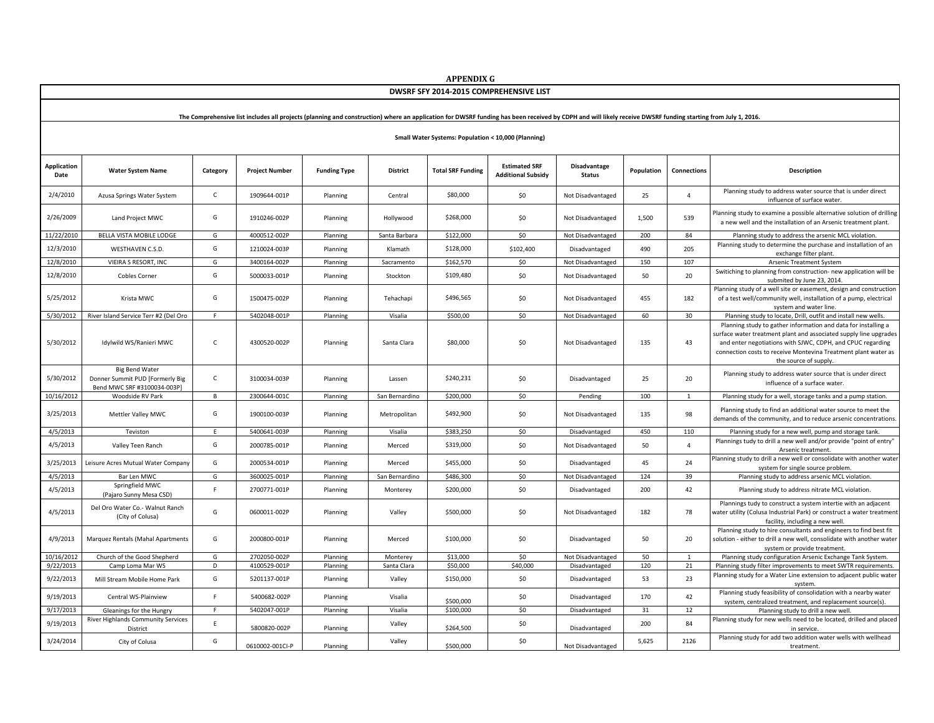| DWSRF SFY 2014-2015 COMPREHENSIVE LIST                                                                                                                                                                      |                                                                                         |              |                       |                     |                 |                          |                                                   |                               |            |                |                                                                                                                                                                                                                                                                                              |
|-------------------------------------------------------------------------------------------------------------------------------------------------------------------------------------------------------------|-----------------------------------------------------------------------------------------|--------------|-----------------------|---------------------|-----------------|--------------------------|---------------------------------------------------|-------------------------------|------------|----------------|----------------------------------------------------------------------------------------------------------------------------------------------------------------------------------------------------------------------------------------------------------------------------------------------|
| The Comprehensive list includes all projects (planning and construction) where an application for DWSRF funding has been received by CDPH and will likely receive DWSRF funding starting from July 1, 2016. |                                                                                         |              |                       |                     |                 |                          |                                                   |                               |            |                |                                                                                                                                                                                                                                                                                              |
| Small Water Systems: Population < 10,000 (Planning)                                                                                                                                                         |                                                                                         |              |                       |                     |                 |                          |                                                   |                               |            |                |                                                                                                                                                                                                                                                                                              |
| Application<br>Date                                                                                                                                                                                         | <b>Water System Name</b>                                                                | Category     | <b>Project Number</b> | <b>Funding Type</b> | <b>District</b> | <b>Total SRF Funding</b> | <b>Estimated SRF</b><br><b>Additional Subsidy</b> | Disadvantage<br><b>Status</b> | Population | Connections    | <b>Description</b>                                                                                                                                                                                                                                                                           |
| 2/4/2010                                                                                                                                                                                                    | Azusa Springs Water System                                                              | $\mathsf{C}$ | 1909644-001P          | Planning            | Central         | \$80,000                 | \$0                                               | Not Disadvantaged             | 25         | $\overline{4}$ | Planning study to address water source that is under direct<br>influence of surface water.                                                                                                                                                                                                   |
| 2/26/2009                                                                                                                                                                                                   | Land Project MWC                                                                        | G            | 1910246-002P          | Planning            | Hollywood       | \$268,000                | \$0                                               | Not Disadvantaged             | 1,500      | 539            | Planning study to examine a possible alternative solution of drilling<br>a new well and the installation of an Arsenic treatment plant.                                                                                                                                                      |
| 11/22/2010                                                                                                                                                                                                  | BELLA VISTA MOBILE LODGE                                                                | G            | 4000512-002P          | Planning            | Santa Barbara   | \$122,000                | \$0                                               | Not Disadvantaged             | 200        | 84             | Planning study to address the arsenic MCL violation.                                                                                                                                                                                                                                         |
| 12/3/2010                                                                                                                                                                                                   | <b>WESTHAVEN C.S.D.</b>                                                                 | G            | 1210024-003P          | Planning            | Klamath         | \$128,000                | \$102,400                                         | Disadvantaged                 | 490        | 205            | Planning study to determine the purchase and installation of an<br>exchange filter plant.                                                                                                                                                                                                    |
| 12/8/2010                                                                                                                                                                                                   | VIEIRA S RESORT, INC                                                                    | G            | 3400164-002P          | Planning            | Sacramento      | \$162,570                | \$0                                               | Not Disadvantaged             | 150        | 107            | Arsenic Treatment System                                                                                                                                                                                                                                                                     |
| 12/8/2010                                                                                                                                                                                                   | <b>Cobles Corner</b>                                                                    | G            | 5000033-001P          | Planning            | Stockton        | \$109,480                | \$0                                               | Not Disadvantaged             | 50         | 20             | Switiching to planning from construction- new application will be<br>submited by June 23, 2014.                                                                                                                                                                                              |
| 5/25/2012                                                                                                                                                                                                   | Krista MWC                                                                              | G            | 1500475-002P          | Planning            | Tehachapi       | \$496,565                | \$0                                               | Not Disadvantaged             | 455        | 182            | Planning study of a well site or easement, design and construction<br>of a test well/community well, installation of a pump, electrical<br>system and water line.                                                                                                                            |
| 5/30/2012                                                                                                                                                                                                   | River Island Service Terr #2 (Del Oro                                                   | F.           | 5402048-001P          | Planning            | Visalia         | \$500,00                 | \$0                                               | Not Disadvantaged             | 60         | 30             | Planning study to locate, Drill, outfit and install new wells.                                                                                                                                                                                                                               |
| 5/30/2012                                                                                                                                                                                                   | Idylwild WS/Ranieri MWC                                                                 | $\mathsf{C}$ | 4300520-002P          | Planning            | Santa Clara     | \$80,000                 | \$0                                               | Not Disadvantaged             | 135        | 43             | Planning study to gather information and data for installing a<br>surface water treatment plant and associated supply line upgrades<br>and enter negotiations with SJWC, CDPH, and CPUC regarding<br>connection costs to receive Montevina Treatment plant water as<br>the source of supply. |
| 5/30/2012                                                                                                                                                                                                   | <b>Big Bend Water</b><br>Donner Summit PUD [Formerly Big<br>Bend MWC SRF #3100034-003Pl | $\mathsf{C}$ | 3100034-003P          | Planning            | Lassen          | \$240,231                | \$0                                               | Disadvantaged                 | 25         | 20             | Planning study to address water source that is under direct<br>influence of a surface water.                                                                                                                                                                                                 |
| 10/16/2012                                                                                                                                                                                                  | Woodside RV Park                                                                        | В            | 2300644-001C          | Planning            | San Bernardino  | \$200,000                | \$0                                               | Pending                       | 100        | $\mathbf{1}$   | Planning study for a well, storage tanks and a pump station.                                                                                                                                                                                                                                 |
| 3/25/2013                                                                                                                                                                                                   | Mettler Valley MWC                                                                      | G            | 1900100-003P          | Planning            | Metropolitan    | \$492,900                | \$0                                               | Not Disadvantaged             | 135        | 98             | Planning study to find an additional water source to meet the<br>demands of the community, and to reduce arsenic concentrations.                                                                                                                                                             |
| 4/5/2013                                                                                                                                                                                                    | Teviston                                                                                | F.           | 5400641-003P          | Planning            | Visalia         | \$383,250                | \$0                                               | Disadvantaged                 | 450        | 110            | Planning study for a new well, pump and storage tank.                                                                                                                                                                                                                                        |
| 4/5/2013                                                                                                                                                                                                    | Valley Teen Ranch                                                                       | G            | 2000785-001P          | Planning            | Merced          | \$319,000                | \$0                                               | Not Disadvantaged             | 50         | $\overline{4}$ | Plannings tudy to drill a new well and/or provide "point of entry"<br>Arsenic treatment.                                                                                                                                                                                                     |
| 3/25/2013                                                                                                                                                                                                   | Leisure Acres Mutual Water Company                                                      | G            | 2000534-001P          | Planning            | Merced          | \$455,000                | \$0                                               | Disadvantaged                 | 45         | 24             | Planning study to drill a new well or consolidate with another water<br>system for single source problem.                                                                                                                                                                                    |
| 4/5/2013                                                                                                                                                                                                    | Bar Len MWC                                                                             | G            | 3600025-001P          | Planning            | San Bernardino  | \$486,300                | \$0                                               | Not Disadvantaged             | 124        | 39             | Planning study to address arsenic MCL violation.                                                                                                                                                                                                                                             |
| 4/5/2013                                                                                                                                                                                                    | Springfield MWC<br>(Pajaro Sunny Mesa CSD)                                              | F.           | 2700771-001P          | Planning            | Monterey        | \$200,000                | \$0                                               | Disadvantaged                 | 200        | 42             | Planning study to address nitrate MCL violation.                                                                                                                                                                                                                                             |
| 4/5/2013                                                                                                                                                                                                    | Del Oro Water Co.- Walnut Ranch<br>(City of Colusa)                                     | G            | 0600011-002P          | Planning            | Valley          | \$500,000                | \$0                                               | Not Disadvantaged             | 182        | 78             | Plannings tudy to construct a system intertie with an adjacent<br>water utility (Colusa Industrial Park) or construct a water treatment<br>facility, including a new well.                                                                                                                   |
| 4/9/2013                                                                                                                                                                                                    | Marquez Rentals (Mahal Apartments                                                       | G            | 2000800-001P          | Planning            | Merced          | \$100,000                | \$0                                               | Disadvantaged                 | 50         | 20             | Planning study to hire consultants and engineers to find best fit<br>solution - either to drill a new well, consolidate with another water<br>system or provide treatment.                                                                                                                   |
| 10/16/2012                                                                                                                                                                                                  | Church of the Good Shepherd                                                             | G            | 2702050-002P          | Planning            | Monterey        | \$13,000                 | \$0                                               | Not Disadvantaged             | 50         | 1              | Planning study configuration Arsenic Exchange Tank System.                                                                                                                                                                                                                                   |
| 9/22/2013                                                                                                                                                                                                   | Camp Loma Mar WS                                                                        | D            | 4100529-001P          | Planning            | Santa Clara     | \$50,000                 | \$40,000                                          | Disadvantaged                 | 120        | 21             | Planning study filter improvements to meet SWTR requirements.                                                                                                                                                                                                                                |
| 9/22/2013                                                                                                                                                                                                   | Mill Stream Mobile Home Park                                                            | G            | 5201137-001P          | Planning            | Valley          | \$150,000                | \$0                                               | Disadvantaged                 | 53         | 23             | Planning study for a Water Line extension to adjacent public water<br>system.                                                                                                                                                                                                                |
| 9/19/2013                                                                                                                                                                                                   | Central WS-Plainview                                                                    | F.           | 5400682-002P          | Planning            | Visalia         | \$500,000                | \$0                                               | Disadvantaged                 | 170        | 42             | Planning study feasibility of consolidation with a nearby water<br>system, centralized treatment, and replacement source(s).                                                                                                                                                                 |
| 9/17/2013                                                                                                                                                                                                   | Gleanings for the Hungry                                                                | F.           | 5402047-001P          | Planning            | Visalia         | \$100,000                | \$0                                               | Disadvantaged                 | 31         | 12             | Planning study to drill a new well.                                                                                                                                                                                                                                                          |
| 9/19/2013                                                                                                                                                                                                   | River Highlands Community Services<br>District                                          | E            | 5800820-002P          | Planning            | Valley          | \$264,500                | \$0                                               | Disadvantaged                 | 200        | 84             | Planning study for new wells need to be located, drilled and placed<br>in service.                                                                                                                                                                                                           |
| 3/24/2014                                                                                                                                                                                                   | City of Colusa                                                                          | G            | 0610002-001Cl-P       | Planning            | Valley          | \$500,000                | \$0                                               | Not Disadvantaged             | 5,625      | 2126           | Planning study for add two addition water wells with wellhead<br>treatment.                                                                                                                                                                                                                  |

**APPENDIX G**